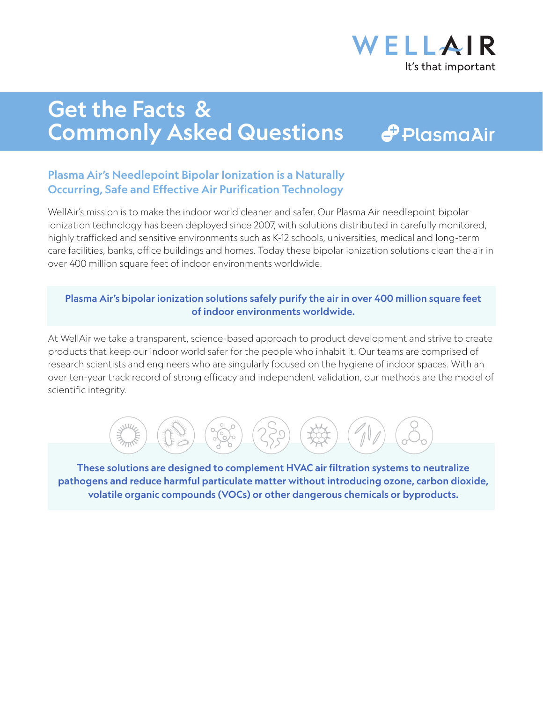

## Get the Facts & Commonly Asked Questions

## $\bigoplus$  Plasma $\bigtriangleup$ ir

### Plasma Air's Needlepoint Bipolar Ionization is a Naturally Occurring, Safe and Effective Air Purification Technology

WellAir's mission is to make the indoor world cleaner and safer. Our Plasma Air needlepoint bipolar ionization technology has been deployed since 2007, with solutions distributed in carefully monitored, highly trafficked and sensitive environments such as K-12 schools, universities, medical and long-term care facilities, banks, office buildings and homes. Today these bipolar ionization solutions clean the air in over 400 million square feet of indoor environments worldwide.

#### Plasma Air's bipolar ionization solutions safely purify the air in over 400 million square feet of indoor environments worldwide.

At WellAir we take a transparent, science-based approach to product development and strive to create products that keep our indoor world safer for the people who inhabit it. Our teams are comprised of research scientists and engineers who are singularly focused on the hygiene of indoor spaces. With an over ten-year track record of strong efficacy and independent validation, our methods are the model of scientific integrity.



These solutions are designed to complement HVAC air filtration systems to neutralize pathogens and reduce harmful particulate matter without introducing ozone, carbon dioxide, volatile organic compounds (VOCs) or other dangerous chemicals or byproducts.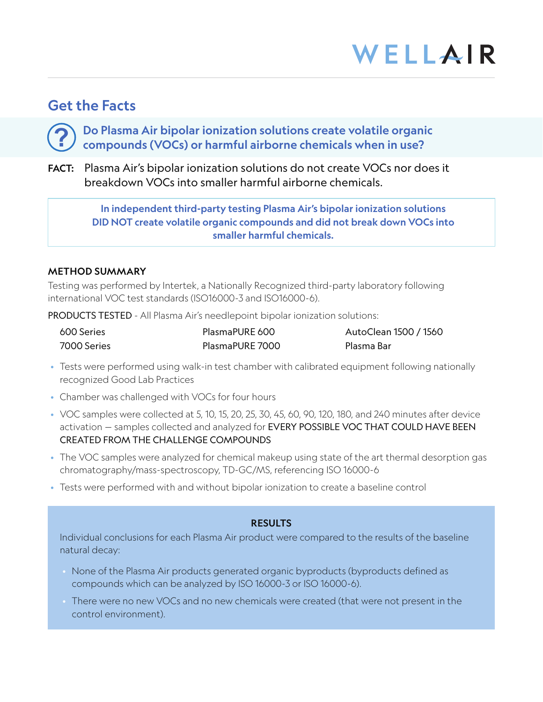### Get the Facts

**?**

Do Plasma Air bipolar ionization solutions create volatile organic compounds (VOCs) or harmful airborne chemicals when in use?

FACT: Plasma Air's bipolar ionization solutions do not create VOCs nor does it breakdown VOCs into smaller harmful airborne chemicals.

> In independent third-party testing Plasma Air's bipolar ionization solutions DID NOT create volatile organic compounds and did not break down VOCs into smaller harmful chemicals.

#### METHOD SUMMARY

Testing was performed by Intertek, a Nationally Recognized third-party laboratory following international VOC test standards (ISO16000-3 and ISO16000-6).

PRODUCTS TESTED - All Plasma Air's needlepoint bipolar ionization solutions:

| 600 Series  | PlasmaPURE 600  | AutoClean 1500 / 1560 |
|-------------|-----------------|-----------------------|
| 7000 Series | PlasmaPURE 7000 | Plasma Bar            |

- Tests were performed using walk-in test chamber with calibrated equipment following nationally recognized Good Lab Practices
- Chamber was challenged with VOCs for four hours
- VOC samples were collected at 5, 10, 15, 20, 25, 30, 45, 60, 90, 120, 180, and 240 minutes after device activation - samples collected and analyzed for EVERY POSSIBLE VOC THAT COULD HAVE BEEN CREATED FROM THE CHALLENGE COMPOUNDS
- The VOC samples were analyzed for chemical makeup using state of the art thermal desorption gas chromatography/mass-spectroscopy, TD-GC/MS, referencing ISO 16000-6
- Tests were performed with and without bipolar ionization to create a baseline control

#### RESULTS

Individual conclusions for each Plasma Air product were compared to the results of the baseline natural decay:

- None of the Plasma Air products generated organic byproducts (byproducts defined as compounds which can be analyzed by ISO 16000-3 or ISO 16000-6).
- There were no new VOCs and no new chemicals were created (that were not present in the control environment).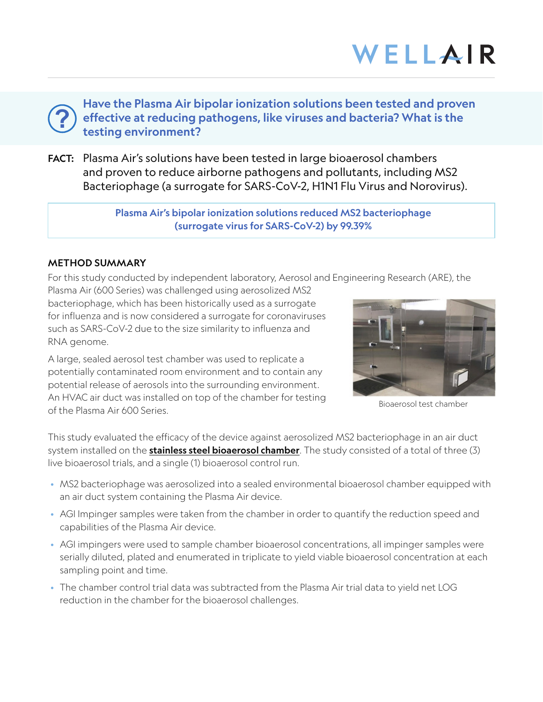Have the Plasma Air bipolar ionization solutions been tested and proven effective at reducing pathogens, like viruses and bacteria? What is the testing environment?

FACT: Plasma Air's solutions have been tested in large bioaerosol chambers and proven to reduce airborne pathogens and pollutants, including MS2 Bacteriophage (a surrogate for SARS-CoV-2, H1N1 Flu Virus and Norovirus).

> Plasma Air's bipolar ionization solutions reduced MS2 bacteriophage (surrogate virus for SARS-CoV-2) by 99.39%

#### METHOD SUMMARY

**?**

For this study conducted by independent laboratory, Aerosol and Engineering Research (ARE), the

Plasma Air (600 Series) was challenged using aerosolized MS2 bacteriophage, which has been historically used as a surrogate for influenza and is now considered a surrogate for coronaviruses such as SARS-CoV-2 due to the size similarity to influenza and RNA genome.

A large, sealed aerosol test chamber was used to replicate a potentially contaminated room environment and to contain any potential release of aerosols into the surrounding environment. An HVAC air duct was installed on top of the chamber for testing of the Plasma Air 600 Series.



Bioaerosol test chamber

This study evaluated the efficacy of the device against aerosolized MS2 bacteriophage in an air duct system installed on the **stainless steel bioaerosol chamber**. The study consisted of a total of three (3) live bioaerosol trials, and a single (1) bioaerosol control run.

- MS2 bacteriophage was aerosolized into a sealed environmental bioaerosol chamber equipped with an air duct system containing the Plasma Air device.
- AGI Impinger samples were taken from the chamber in order to quantify the reduction speed and capabilities of the Plasma Air device.
- AGI impingers were used to sample chamber bioaerosol concentrations, all impinger samples were serially diluted, plated and enumerated in triplicate to yield viable bioaerosol concentration at each sampling point and time.
- The chamber control trial data was subtracted from the Plasma Air trial data to yield net LOG reduction in the chamber for the bioaerosol challenges.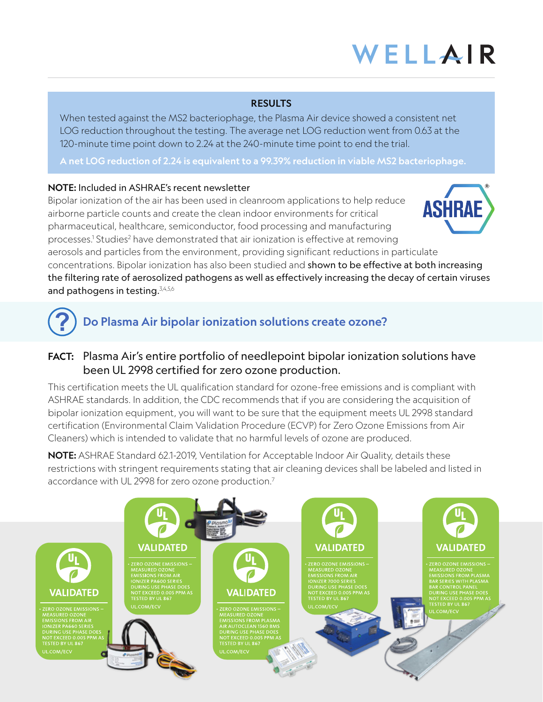#### RESULTS

When tested against the MS2 bacteriophage, the Plasma Air device showed a consistent net LOG reduction throughout the testing. The average net LOG reduction went from 0.63 at the 120-minute time point down to 2.24 at the 240-minute time point to end the trial.

A net LOG reduction of 2.24 is equivalent to a 99.39% reduction in viable MS2 bacteriophage.

#### NOTE: Included in ASHRAE's recent newsletter

Bipolar ionization of the air has been used in cleanroom applications to help reduce airborne particle counts and create the clean indoor environments for critical pharmaceutical, healthcare, semiconductor, food processing and manufacturing processes.<sup>1</sup> Studies<sup>2</sup> have demonstrated that air ionization is effective at removing aerosols and particles from the environment, providing significant reductions in particulate



concentrations. Bipolar ionization has also been studied and shown to be effective at both increasing the filtering rate of aerosolized pathogens as well as effectively increasing the decay of certain viruses and pathogens in testing.<sup>3,4,5,6</sup>

### Do Plasma Air bipolar ionization solutions create ozone? **?**

### FACT: Plasma Air's entire portfolio of needlepoint bipolar ionization solutions have been UL 2998 certified for zero ozone production.

This certification meets the UL qualification standard for ozone-free emissions and is compliant with ASHRAE standards. In addition, the CDC recommends that if you are considering the acquisition of bipolar ionization equipment, you will want to be sure that the equipment meets UL 2998 standard certification (Environmental Claim Validation Procedure (ECVP) for Zero Ozone Emissions from Air Cleaners) which is intended to validate that no harmful levels of ozone are produced.

NOTE: ASHRAE Standard 62.1-2019, Ventilation for Acceptable Indoor Air Quality, details these restrictions with stringent requirements stating that air cleaning devices shall be labeled and listed in accordance with UL 2998 for zero ozone production.<sup>7</sup>

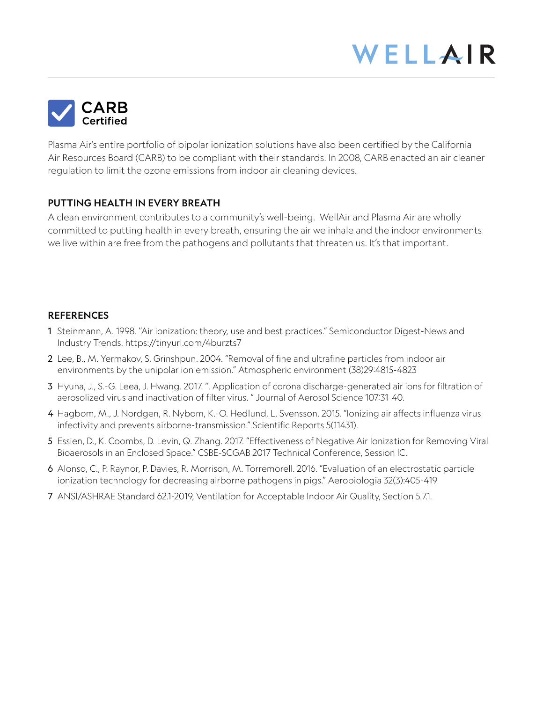

Plasma Air's entire portfolio of bipolar ionization solutions have also been certified by the California Air Resources Board (CARB) to be compliant with their standards. In 2008, CARB enacted an air cleaner regulation to limit the ozone emissions from indoor air cleaning devices.

#### PUTTING HEALTH IN EVERY BREATH

A clean environment contributes to a community's well-being. WellAir and Plasma Air are wholly committed to putting health in every breath, ensuring the air we inhale and the indoor environments we live within are free from the pathogens and pollutants that threaten us. It's that important.

#### **REFERENCES**

- 1 Steinmann, A. 1998. ''Air ionization: theory, use and best practices." Semiconductor Digest-News and Industry Trends. https://tinyurl.com/4burzts7
- 2 Lee, B., M. Yermakov, S. Grinshpun. 2004. "Removal of fine and ultrafine particles from indoor air environments by the unipolar ion emission." Atmospheric environment (38)29:4815-4823
- 3 Hyuna, J., S.-G. Leea, J. Hwang. 2017. ''. Application of corona discharge-generated air ions for filtration of aerosolized virus and inactivation of filter virus. " Journal of Aerosol Science 107:31-40.
- 4 Hagbom, M., J. Nordgen, R. Nybom, K.-O. Hedlund, L. Svensson. 2015. "Ionizing air affects influenza virus infectivity and prevents airborne-transmission." Scientific Reports 5(11431).
- 5 Essien, D., K. Coombs, D. Levin, Q. Zhang. 2017. "Effectiveness of Negative Air Ionization for Removing Viral Bioaerosols in an Enclosed Space." CSBE-SCGAB 2017 Technical Conference, Session lC.
- 6 Alonso, C., P. Raynor, P. Davies, R. Morrison, M. Torremorell. 2016. "Evaluation of an electrostatic particle ionization technology for decreasing airborne pathogens in pigs." Aerobiologia 32(3):405-419
- 7 ANSI/ASHRAE Standard 62.1-2019, Ventilation for Acceptable Indoor Air Quality, Section 5.7.1.